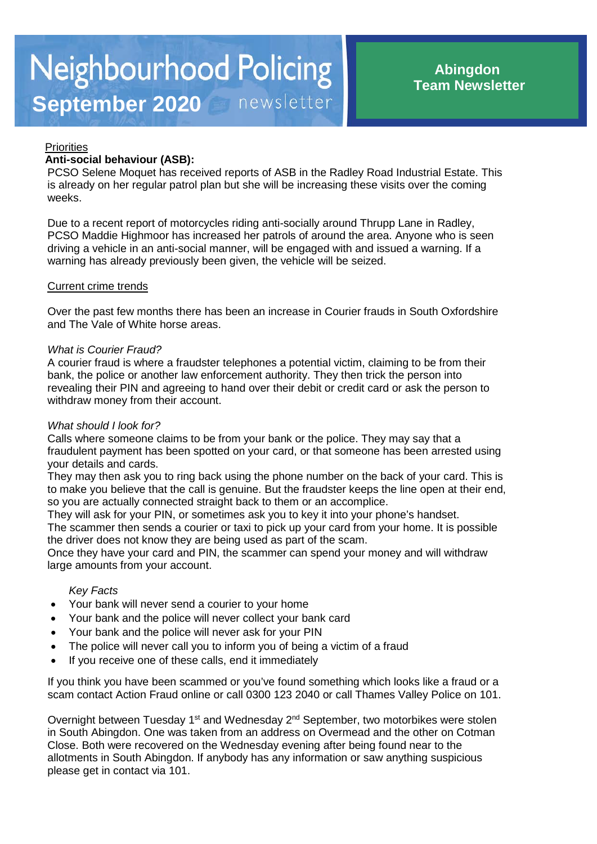# **Priorities**

# **Anti-social behaviour (ASB):**

PCSO Selene Moquet has received reports of ASB in the Radley Road Industrial Estate. This is already on her regular patrol plan but she will be increasing these visits over the coming weeks.

Due to a recent report of motorcycles riding anti-socially around Thrupp Lane in Radley, PCSO Maddie Highmoor has increased her patrols of around the area. Anyone who is seen driving a vehicle in an anti-social manner, will be engaged with and issued a warning. If a warning has already previously been given, the vehicle will be seized.

## Current crime trends

Over the past few months there has been an increase in Courier frauds in South Oxfordshire and The Vale of White horse areas.

#### *What is Courier Fraud?*

A courier fraud is where a fraudster telephones a potential victim, claiming to be from their bank, the police or another law enforcement authority. They then trick the person into revealing their PIN and agreeing to hand over their debit or credit card or ask the person to withdraw money from their account.

#### *What should I look for?*

Calls where someone claims to be from your bank or the police. They may say that a fraudulent payment has been spotted on your card, or that someone has been arrested using your details and cards.

They may then ask you to ring back using the phone number on the back of your card. This is to make you believe that the call is genuine. But the fraudster keeps the line open at their end, so you are actually connected straight back to them or an accomplice.

They will ask for your PIN, or sometimes ask you to key it into your phone's handset.

The scammer then sends a courier or taxi to pick up your card from your home. It is possible the driver does not know they are being used as part of the scam.

Once they have your card and PIN, the scammer can spend your money and will withdraw large amounts from your account.

#### *Key Facts*

- Your bank will never send a courier to your home
- Your bank and the police will never collect your bank card
- Your bank and the police will never ask for your PIN
- The police will never call you to inform you of being a victim of a fraud
- If you receive one of these calls, end it immediately

If you think you have been scammed or you've found something which looks like a fraud or a scam contact Action Fraud online or call 0300 123 2040 or call Thames Valley Police on 101.

Overnight between Tuesday 1<sup>st</sup> and Wednesday  $2^{nd}$  September, two motorbikes were stolen in South Abingdon. One was taken from an address on Overmead and the other on Cotman Close. Both were recovered on the Wednesday evening after being found near to the allotments in South Abingdon. If anybody has any information or saw anything suspicious please get in contact via 101.